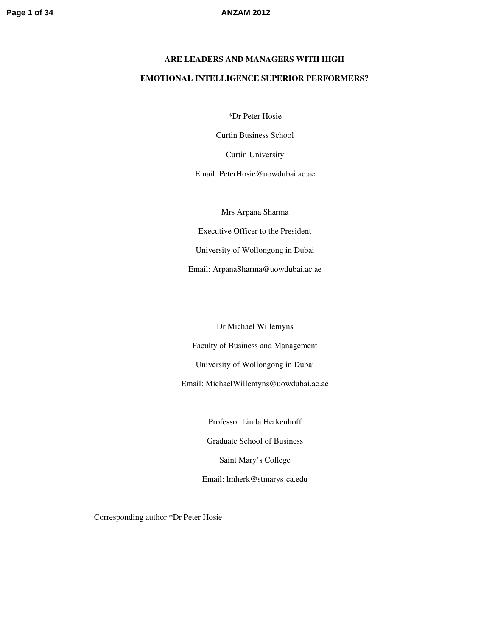# **ARE LEADERS AND MANAGERS WITH HIGH EMOTIONAL INTELLIGENCE SUPERIOR PERFORMERS?**

\*Dr Peter Hosie

Curtin Business School

Curtin University

Email: PeterHosie@uowdubai.ac.ae

Mrs Arpana Sharma

Executive Officer to the President

University of Wollongong in Dubai

Email: ArpanaSharma@uowdubai.ac.ae

Dr Michael Willemyns

Faculty of Business and Management

University of Wollongong in Dubai

Email: MichaelWillemyns@uowdubai.ac.ae

Professor Linda Herkenhoff Graduate School of Business Saint Mary's College Email: lmherk@stmarys-ca.edu

Corresponding author \*Dr Peter Hosie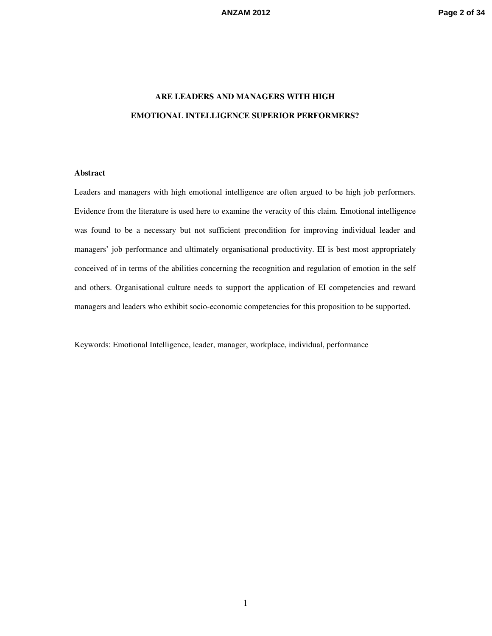## **ARE LEADERS AND MANAGERS WITH HIGH EMOTIONAL INTELLIGENCE SUPERIOR PERFORMERS?**

### **Abstract**

Leaders and managers with high emotional intelligence are often argued to be high job performers. Evidence from the literature is used here to examine the veracity of this claim. Emotional intelligence was found to be a necessary but not sufficient precondition for improving individual leader and managers' job performance and ultimately organisational productivity. EI is best most appropriately conceived of in terms of the abilities concerning the recognition and regulation of emotion in the self and others. Organisational culture needs to support the application of EI competencies and reward managers and leaders who exhibit socio-economic competencies for this proposition to be supported.

Keywords: Emotional Intelligence, leader, manager, workplace, individual, performance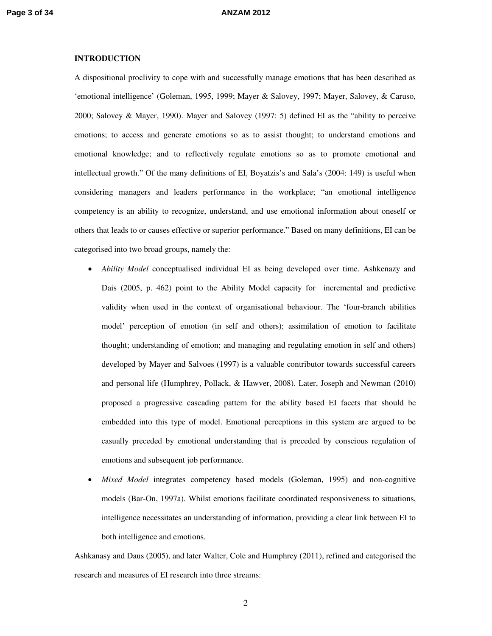### **INTRODUCTION**

A dispositional proclivity to cope with and successfully manage emotions that has been described as 'emotional intelligence' (Goleman, 1995, 1999; Mayer & Salovey, 1997; Mayer, Salovey, & Caruso, 2000; Salovey & Mayer, 1990). Mayer and Salovey (1997: 5) defined EI as the "ability to perceive emotions; to access and generate emotions so as to assist thought; to understand emotions and emotional knowledge; and to reflectively regulate emotions so as to promote emotional and intellectual growth." Of the many definitions of EI, Boyatzis's and Sala's (2004: 149) is useful when considering managers and leaders performance in the workplace; "an emotional intelligence competency is an ability to recognize, understand, and use emotional information about oneself or others that leads to or causes effective or superior performance." Based on many definitions, EI can be categorised into two broad groups, namely the:

- *Ability Model* conceptualised individual EI as being developed over time. Ashkenazy and Dais (2005, p. 462) point to the Ability Model capacity for incremental and predictive validity when used in the context of organisational behaviour. The 'four-branch abilities model' perception of emotion (in self and others); assimilation of emotion to facilitate thought; understanding of emotion; and managing and regulating emotion in self and others) developed by Mayer and Salvoes (1997) is a valuable contributor towards successful careers and personal life (Humphrey, Pollack, & Hawver, 2008). Later, Joseph and Newman (2010) proposed a progressive cascading pattern for the ability based EI facets that should be embedded into this type of model. Emotional perceptions in this system are argued to be casually preceded by emotional understanding that is preceded by conscious regulation of emotions and subsequent job performance.
- *Mixed Model* integrates competency based models (Goleman, 1995) and non-cognitive models (Bar-On, 1997a). Whilst emotions facilitate coordinated responsiveness to situations, intelligence necessitates an understanding of information, providing a clear link between EI to both intelligence and emotions.

Ashkanasy and Daus (2005), and later Walter, Cole and Humphrey (2011), refined and categorised the research and measures of EI research into three streams: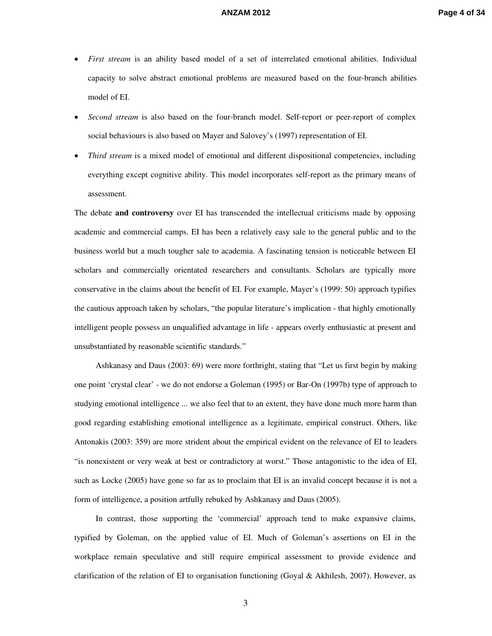- *First stream* is an ability based model of a set of interrelated emotional abilities. Individual capacity to solve abstract emotional problems are measured based on the four-branch abilities model of EI.
- *Second stream* is also based on the four-branch model. Self-report or peer-report of complex social behaviours is also based on Mayer and Salovey's (1997) representation of EI.
- *Third stream* is a mixed model of emotional and different dispositional competencies, including everything except cognitive ability. This model incorporates self-report as the primary means of assessment.

The debate **and controversy** over EI has transcended the intellectual criticisms made by opposing academic and commercial camps. EI has been a relatively easy sale to the general public and to the business world but a much tougher sale to academia. A fascinating tension is noticeable between EI scholars and commercially orientated researchers and consultants. Scholars are typically more conservative in the claims about the benefit of EI. For example, Mayer's (1999: 50) approach typifies the cautious approach taken by scholars, "the popular literature's implication - that highly emotionally intelligent people possess an unqualified advantage in life - appears overly enthusiastic at present and unsubstantiated by reasonable scientific standards."

Ashkanasy and Daus (2003: 69) were more forthright, stating that "Let us first begin by making one point 'crystal clear' - we do not endorse a Goleman (1995) or Bar-On (1997b) type of approach to studying emotional intelligence ... we also feel that to an extent, they have done much more harm than good regarding establishing emotional intelligence as a legitimate, empirical construct. Others, like Antonakis (2003: 359) are more strident about the empirical evident on the relevance of EI to leaders "is nonexistent or very weak at best or contradictory at worst." Those antagonistic to the idea of EI, such as Locke (2005) have gone so far as to proclaim that EI is an invalid concept because it is not a form of intelligence, a position artfully rebuked by Ashkanasy and Daus (2005).

In contrast, those supporting the 'commercial' approach tend to make expansive claims, typified by Goleman, on the applied value of EI. Much of Goleman's assertions on EI in the workplace remain speculative and still require empirical assessment to provide evidence and clarification of the relation of EI to organisation functioning (Goyal & Akhilesh, 2007). However, as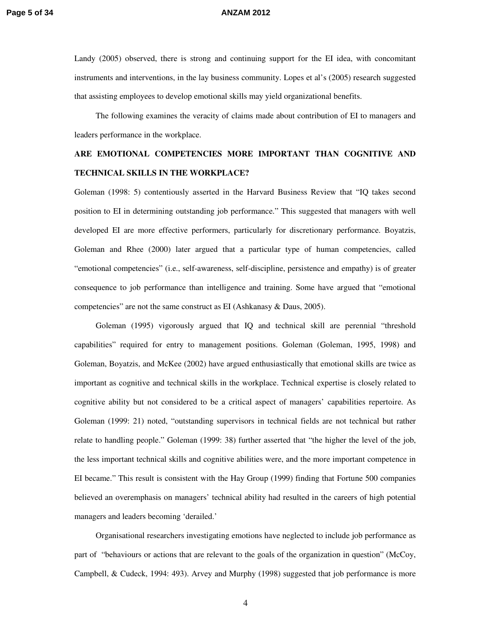### **Page 5 of 34 ANZAM 2012**

Landy (2005) observed, there is strong and continuing support for the EI idea, with concomitant instruments and interventions, in the lay business community. Lopes et al's (2005) research suggested that assisting employees to develop emotional skills may yield organizational benefits.

The following examines the veracity of claims made about contribution of EI to managers and leaders performance in the workplace.

## **ARE EMOTIONAL COMPETENCIES MORE IMPORTANT THAN COGNITIVE AND TECHNICAL SKILLS IN THE WORKPLACE?**

Goleman (1998: 5) contentiously asserted in the Harvard Business Review that "IQ takes second position to EI in determining outstanding job performance." This suggested that managers with well developed EI are more effective performers, particularly for discretionary performance. Boyatzis, Goleman and Rhee (2000) later argued that a particular type of human competencies, called "emotional competencies" (i.e., self-awareness, self-discipline, persistence and empathy) is of greater consequence to job performance than intelligence and training. Some have argued that "emotional competencies" are not the same construct as EI (Ashkanasy & Daus, 2005).

Goleman (1995) vigorously argued that IQ and technical skill are perennial "threshold capabilities" required for entry to management positions. Goleman (Goleman, 1995, 1998) and Goleman, Boyatzis, and McKee (2002) have argued enthusiastically that emotional skills are twice as important as cognitive and technical skills in the workplace. Technical expertise is closely related to cognitive ability but not considered to be a critical aspect of managers' capabilities repertoire. As Goleman (1999: 21) noted, "outstanding supervisors in technical fields are not technical but rather relate to handling people." Goleman (1999: 38) further asserted that "the higher the level of the job, the less important technical skills and cognitive abilities were, and the more important competence in EI became." This result is consistent with the Hay Group (1999) finding that Fortune 500 companies believed an overemphasis on managers' technical ability had resulted in the careers of high potential managers and leaders becoming 'derailed.'

Organisational researchers investigating emotions have neglected to include job performance as part of "behaviours or actions that are relevant to the goals of the organization in question" (McCoy, Campbell, & Cudeck, 1994: 493). Arvey and Murphy (1998) suggested that job performance is more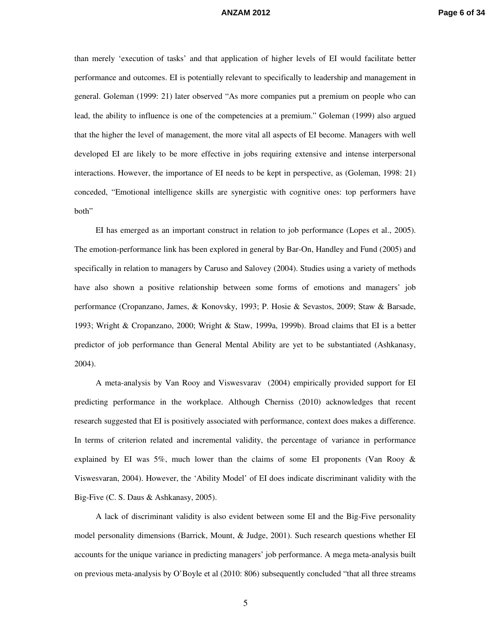than merely 'execution of tasks' and that application of higher levels of EI would facilitate better performance and outcomes. EI is potentially relevant to specifically to leadership and management in general. Goleman (1999: 21) later observed "As more companies put a premium on people who can lead, the ability to influence is one of the competencies at a premium." Goleman (1999) also argued that the higher the level of management, the more vital all aspects of EI become. Managers with well developed EI are likely to be more effective in jobs requiring extensive and intense interpersonal interactions. However, the importance of EI needs to be kept in perspective, as (Goleman, 1998: 21) conceded, "Emotional intelligence skills are synergistic with cognitive ones: top performers have both"

EI has emerged as an important construct in relation to job performance (Lopes et al., 2005). The emotion-performance link has been explored in general by Bar-On, Handley and Fund (2005) and specifically in relation to managers by Caruso and Salovey (2004). Studies using a variety of methods have also shown a positive relationship between some forms of emotions and managers' job performance (Cropanzano, James, & Konovsky, 1993; P. Hosie & Sevastos, 2009; Staw & Barsade, 1993; Wright & Cropanzano, 2000; Wright & Staw, 1999a, 1999b). Broad claims that EI is a better predictor of job performance than General Mental Ability are yet to be substantiated (Ashkanasy, 2004).

A meta-analysis by Van Rooy and Viswesvarav (2004) empirically provided support for EI predicting performance in the workplace. Although Cherniss (2010) acknowledges that recent research suggested that EI is positively associated with performance, context does makes a difference. In terms of criterion related and incremental validity, the percentage of variance in performance explained by EI was  $5\%$ , much lower than the claims of some EI proponents (Van Rooy & Viswesvaran, 2004). However, the 'Ability Model' of EI does indicate discriminant validity with the Big-Five (C. S. Daus & Ashkanasy, 2005).

A lack of discriminant validity is also evident between some EI and the Big-Five personality model personality dimensions (Barrick, Mount, & Judge, 2001). Such research questions whether EI accounts for the unique variance in predicting managers' job performance. A mega meta-analysis built on previous meta-analysis by O'Boyle et al (2010: 806) subsequently concluded "that all three streams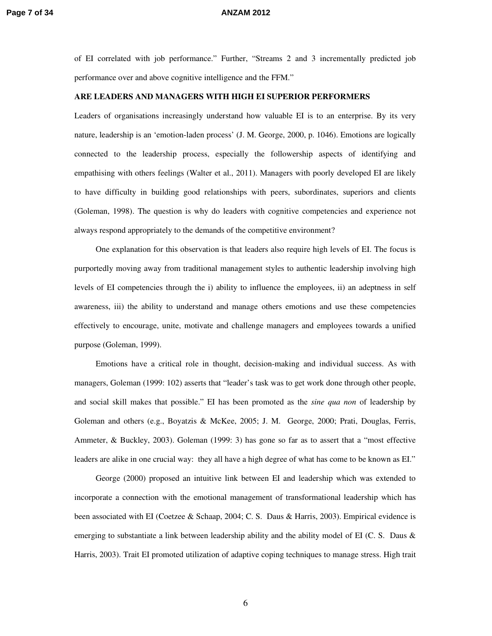### **Page 7 of 34 ANZAM 2012**

of EI correlated with job performance." Further, "Streams 2 and 3 incrementally predicted job performance over and above cognitive intelligence and the FFM."

### **ARE LEADERS AND MANAGERS WITH HIGH EI SUPERIOR PERFORMERS**

Leaders of organisations increasingly understand how valuable EI is to an enterprise. By its very nature, leadership is an 'emotion-laden process' (J. M. George, 2000, p. 1046). Emotions are logically connected to the leadership process, especially the followership aspects of identifying and empathising with others feelings (Walter et al., 2011). Managers with poorly developed EI are likely to have difficulty in building good relationships with peers, subordinates, superiors and clients (Goleman, 1998). The question is why do leaders with cognitive competencies and experience not always respond appropriately to the demands of the competitive environment?

One explanation for this observation is that leaders also require high levels of EI. The focus is purportedly moving away from traditional management styles to authentic leadership involving high levels of EI competencies through the i) ability to influence the employees, ii) an adeptness in self awareness, iii) the ability to understand and manage others emotions and use these competencies effectively to encourage, unite, motivate and challenge managers and employees towards a unified purpose (Goleman, 1999).

Emotions have a critical role in thought, decision-making and individual success. As with managers, Goleman (1999: 102) asserts that "leader's task was to get work done through other people, and social skill makes that possible." EI has been promoted as the *sine qua non* of leadership by Goleman and others (e.g., Boyatzis & McKee, 2005; J. M. George, 2000; Prati, Douglas, Ferris, Ammeter, & Buckley, 2003). Goleman (1999: 3) has gone so far as to assert that a "most effective leaders are alike in one crucial way: they all have a high degree of what has come to be known as EI."

George (2000) proposed an intuitive link between EI and leadership which was extended to incorporate a connection with the emotional management of transformational leadership which has been associated with EI (Coetzee & Schaap, 2004; C. S. Daus & Harris, 2003). Empirical evidence is emerging to substantiate a link between leadership ability and the ability model of EI (C. S. Daus & Harris, 2003). Trait EI promoted utilization of adaptive coping techniques to manage stress. High trait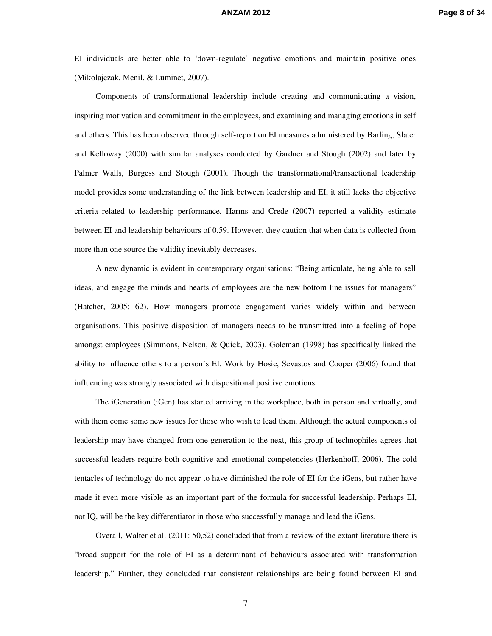### **ANZAM 2012 Page 8 of 34**

EI individuals are better able to 'down-regulate' negative emotions and maintain positive ones (Mikolajczak, Menil, & Luminet, 2007).

Components of transformational leadership include creating and communicating a vision, inspiring motivation and commitment in the employees, and examining and managing emotions in self and others. This has been observed through self-report on EI measures administered by Barling, Slater and Kelloway (2000) with similar analyses conducted by Gardner and Stough (2002) and later by Palmer Walls, Burgess and Stough (2001). Though the transformational/transactional leadership model provides some understanding of the link between leadership and EI, it still lacks the objective criteria related to leadership performance. Harms and Crede (2007) reported a validity estimate between EI and leadership behaviours of 0.59. However, they caution that when data is collected from more than one source the validity inevitably decreases.

A new dynamic is evident in contemporary organisations: "Being articulate, being able to sell ideas, and engage the minds and hearts of employees are the new bottom line issues for managers" (Hatcher, 2005: 62). How managers promote engagement varies widely within and between organisations. This positive disposition of managers needs to be transmitted into a feeling of hope amongst employees (Simmons, Nelson, & Quick, 2003). Goleman (1998) has specifically linked the ability to influence others to a person's EI. Work by Hosie, Sevastos and Cooper (2006) found that influencing was strongly associated with dispositional positive emotions.

The iGeneration (iGen) has started arriving in the workplace, both in person and virtually, and with them come some new issues for those who wish to lead them. Although the actual components of leadership may have changed from one generation to the next, this group of technophiles agrees that successful leaders require both cognitive and emotional competencies (Herkenhoff, 2006). The cold tentacles of technology do not appear to have diminished the role of EI for the iGens, but rather have made it even more visible as an important part of the formula for successful leadership. Perhaps EI, not IQ, will be the key differentiator in those who successfully manage and lead the iGens.

Overall, Walter et al. (2011: 50,52) concluded that from a review of the extant literature there is "broad support for the role of EI as a determinant of behaviours associated with transformation leadership." Further, they concluded that consistent relationships are being found between EI and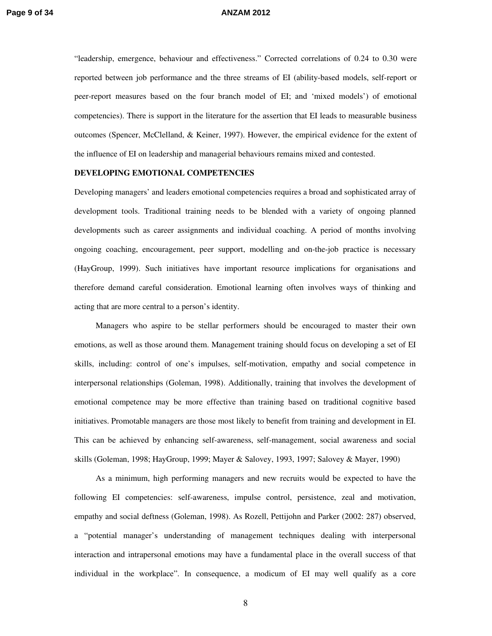"leadership, emergence, behaviour and effectiveness." Corrected correlations of 0.24 to 0.30 were reported between job performance and the three streams of EI (ability-based models, self-report or peer-report measures based on the four branch model of EI; and 'mixed models') of emotional competencies). There is support in the literature for the assertion that EI leads to measurable business outcomes (Spencer, McClelland, & Keiner, 1997). However, the empirical evidence for the extent of the influence of EI on leadership and managerial behaviours remains mixed and contested.

### **DEVELOPING EMOTIONAL COMPETENCIES**

Developing managers' and leaders emotional competencies requires a broad and sophisticated array of development tools. Traditional training needs to be blended with a variety of ongoing planned developments such as career assignments and individual coaching. A period of months involving ongoing coaching, encouragement, peer support, modelling and on-the-job practice is necessary (HayGroup, 1999). Such initiatives have important resource implications for organisations and therefore demand careful consideration. Emotional learning often involves ways of thinking and acting that are more central to a person's identity.

Managers who aspire to be stellar performers should be encouraged to master their own emotions, as well as those around them. Management training should focus on developing a set of EI skills, including: control of one's impulses, self-motivation, empathy and social competence in interpersonal relationships (Goleman, 1998). Additionally, training that involves the development of emotional competence may be more effective than training based on traditional cognitive based initiatives. Promotable managers are those most likely to benefit from training and development in EI. This can be achieved by enhancing self-awareness, self-management, social awareness and social skills (Goleman, 1998; HayGroup, 1999; Mayer & Salovey, 1993, 1997; Salovey & Mayer, 1990)

As a minimum, high performing managers and new recruits would be expected to have the following EI competencies: self-awareness, impulse control, persistence, zeal and motivation, empathy and social deftness (Goleman, 1998). As Rozell, Pettijohn and Parker (2002: 287) observed, a "potential manager's understanding of management techniques dealing with interpersonal interaction and intrapersonal emotions may have a fundamental place in the overall success of that individual in the workplace". In consequence, a modicum of EI may well qualify as a core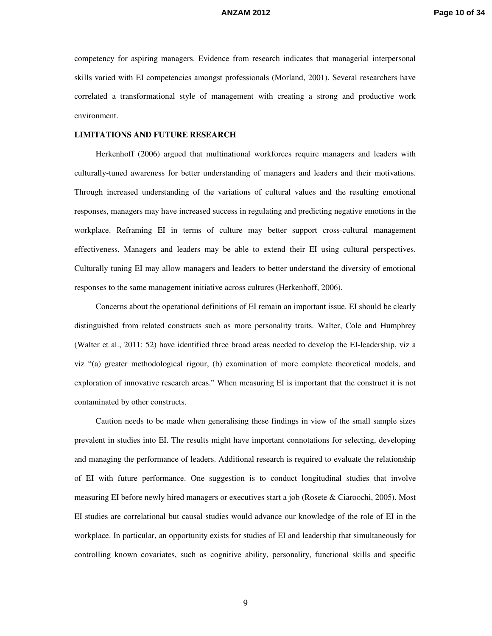competency for aspiring managers. Evidence from research indicates that managerial interpersonal skills varied with EI competencies amongst professionals (Morland, 2001). Several researchers have correlated a transformational style of management with creating a strong and productive work environment.

### **LIMITATIONS AND FUTURE RESEARCH**

Herkenhoff (2006) argued that multinational workforces require managers and leaders with culturally-tuned awareness for better understanding of managers and leaders and their motivations. Through increased understanding of the variations of cultural values and the resulting emotional responses, managers may have increased success in regulating and predicting negative emotions in the workplace. Reframing EI in terms of culture may better support cross-cultural management effectiveness. Managers and leaders may be able to extend their EI using cultural perspectives. Culturally tuning EI may allow managers and leaders to better understand the diversity of emotional responses to the same management initiative across cultures (Herkenhoff, 2006).

Concerns about the operational definitions of EI remain an important issue. EI should be clearly distinguished from related constructs such as more personality traits. Walter, Cole and Humphrey (Walter et al., 2011: 52) have identified three broad areas needed to develop the EI-leadership, viz a viz "(a) greater methodological rigour, (b) examination of more complete theoretical models, and exploration of innovative research areas." When measuring EI is important that the construct it is not contaminated by other constructs.

Caution needs to be made when generalising these findings in view of the small sample sizes prevalent in studies into EI. The results might have important connotations for selecting, developing and managing the performance of leaders. Additional research is required to evaluate the relationship of EI with future performance. One suggestion is to conduct longitudinal studies that involve measuring EI before newly hired managers or executives start a job (Rosete & Ciaroochi, 2005). Most EI studies are correlational but causal studies would advance our knowledge of the role of EI in the workplace. In particular, an opportunity exists for studies of EI and leadership that simultaneously for controlling known covariates, such as cognitive ability, personality, functional skills and specific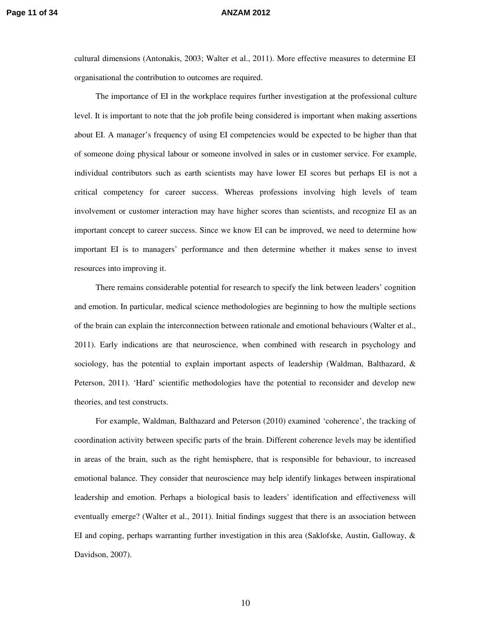cultural dimensions (Antonakis, 2003; Walter et al., 2011). More effective measures to determine EI organisational the contribution to outcomes are required.

The importance of EI in the workplace requires further investigation at the professional culture level. It is important to note that the job profile being considered is important when making assertions about EI. A manager's frequency of using EI competencies would be expected to be higher than that of someone doing physical labour or someone involved in sales or in customer service. For example, individual contributors such as earth scientists may have lower EI scores but perhaps EI is not a critical competency for career success. Whereas professions involving high levels of team involvement or customer interaction may have higher scores than scientists, and recognize EI as an important concept to career success. Since we know EI can be improved, we need to determine how important EI is to managers' performance and then determine whether it makes sense to invest resources into improving it.

There remains considerable potential for research to specify the link between leaders' cognition and emotion. In particular, medical science methodologies are beginning to how the multiple sections of the brain can explain the interconnection between rationale and emotional behaviours (Walter et al., 2011). Early indications are that neuroscience, when combined with research in psychology and sociology, has the potential to explain important aspects of leadership (Waldman, Balthazard, & Peterson, 2011). 'Hard' scientific methodologies have the potential to reconsider and develop new theories, and test constructs.

For example, Waldman, Balthazard and Peterson (2010) examined 'coherence', the tracking of coordination activity between specific parts of the brain. Different coherence levels may be identified in areas of the brain, such as the right hemisphere, that is responsible for behaviour, to increased emotional balance. They consider that neuroscience may help identify linkages between inspirational leadership and emotion. Perhaps a biological basis to leaders' identification and effectiveness will eventually emerge? (Walter et al., 2011). Initial findings suggest that there is an association between EI and coping, perhaps warranting further investigation in this area (Saklofske, Austin, Galloway, & Davidson, 2007).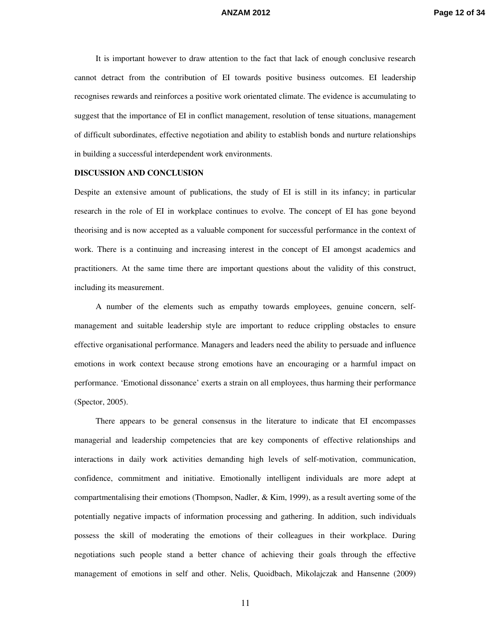It is important however to draw attention to the fact that lack of enough conclusive research cannot detract from the contribution of EI towards positive business outcomes. EI leadership recognises rewards and reinforces a positive work orientated climate. The evidence is accumulating to suggest that the importance of EI in conflict management, resolution of tense situations, management of difficult subordinates, effective negotiation and ability to establish bonds and nurture relationships in building a successful interdependent work environments.

### **DISCUSSION AND CONCLUSION**

Despite an extensive amount of publications, the study of EI is still in its infancy; in particular research in the role of EI in workplace continues to evolve. The concept of EI has gone beyond theorising and is now accepted as a valuable component for successful performance in the context of work. There is a continuing and increasing interest in the concept of EI amongst academics and practitioners. At the same time there are important questions about the validity of this construct, including its measurement.

A number of the elements such as empathy towards employees, genuine concern, selfmanagement and suitable leadership style are important to reduce crippling obstacles to ensure effective organisational performance. Managers and leaders need the ability to persuade and influence emotions in work context because strong emotions have an encouraging or a harmful impact on performance. 'Emotional dissonance' exerts a strain on all employees, thus harming their performance (Spector, 2005).

There appears to be general consensus in the literature to indicate that EI encompasses managerial and leadership competencies that are key components of effective relationships and interactions in daily work activities demanding high levels of self-motivation, communication, confidence, commitment and initiative. Emotionally intelligent individuals are more adept at compartmentalising their emotions (Thompson, Nadler,  $\&$  Kim, 1999), as a result averting some of the potentially negative impacts of information processing and gathering. In addition, such individuals possess the skill of moderating the emotions of their colleagues in their workplace. During negotiations such people stand a better chance of achieving their goals through the effective management of emotions in self and other. Nelis, Quoidbach, Mikolajczak and Hansenne (2009)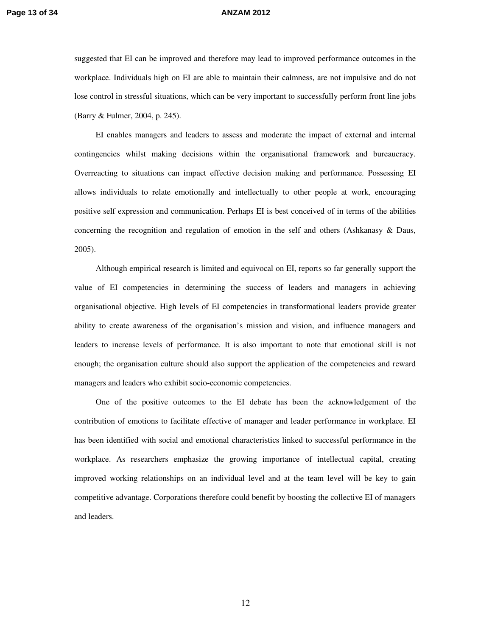suggested that EI can be improved and therefore may lead to improved performance outcomes in the workplace. Individuals high on EI are able to maintain their calmness, are not impulsive and do not lose control in stressful situations, which can be very important to successfully perform front line jobs (Barry & Fulmer, 2004, p. 245).

EI enables managers and leaders to assess and moderate the impact of external and internal contingencies whilst making decisions within the organisational framework and bureaucracy. Overreacting to situations can impact effective decision making and performance. Possessing EI allows individuals to relate emotionally and intellectually to other people at work, encouraging positive self expression and communication. Perhaps EI is best conceived of in terms of the abilities concerning the recognition and regulation of emotion in the self and others (Ashkanasy & Daus, 2005).

Although empirical research is limited and equivocal on EI, reports so far generally support the value of EI competencies in determining the success of leaders and managers in achieving organisational objective. High levels of EI competencies in transformational leaders provide greater ability to create awareness of the organisation's mission and vision, and influence managers and leaders to increase levels of performance. It is also important to note that emotional skill is not enough; the organisation culture should also support the application of the competencies and reward managers and leaders who exhibit socio-economic competencies.

One of the positive outcomes to the EI debate has been the acknowledgement of the contribution of emotions to facilitate effective of manager and leader performance in workplace. EI has been identified with social and emotional characteristics linked to successful performance in the workplace. As researchers emphasize the growing importance of intellectual capital, creating improved working relationships on an individual level and at the team level will be key to gain competitive advantage. Corporations therefore could benefit by boosting the collective EI of managers and leaders.

12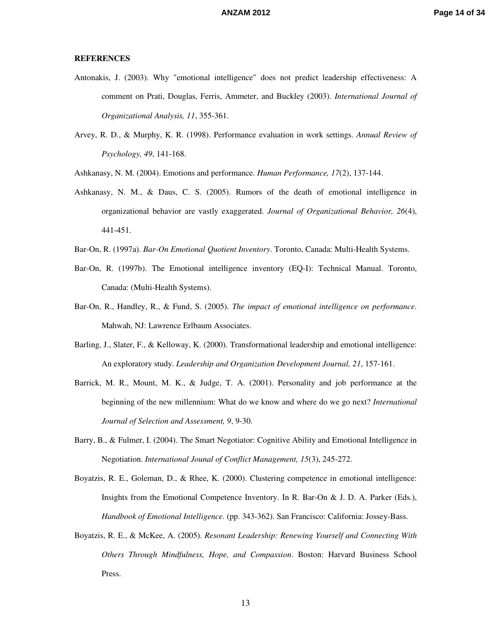### **REFERENCES**

- Antonakis, J. (2003). Why "emotional intelligence" does not predict leadership effectiveness: A comment on Prati, Douglas, Ferris, Ammeter, and Buckley (2003). *International Journal of Organizational Analysis, 11*, 355-361.
- Arvey, R. D., & Murphy, K. R. (1998). Performance evaluation in work settings. *Annual Review of Psychology, 49*, 141-168.
- Ashkanasy, N. M. (2004). Emotions and performance. *Human Performance, 17*(2), 137-144.
- Ashkanasy, N. M., & Daus, C. S. (2005). Rumors of the death of emotional intelligence in organizational behavior are vastly exaggerated. *Journal of Organizational Behavior, 26*(4), 441-451.
- Bar-On, R. (1997a). *Bar-On Emotional Quotient Inventory*. Toronto, Canada: Multi-Health Systems.
- Bar-On, R. (1997b). The Emotional intelligence inventory (EQ-I): Technical Manual. Toronto, Canada: (Multi-Health Systems).
- Bar-On, R., Handley, R., & Fund, S. (2005). *The impact of emotional intelligence on performance*. Mahwah, NJ: Lawrence Erlbaum Associates.
- Barling, J., Slater, F., & Kelloway, K. (2000). Transformational leadership and emotional intelligence: An exploratory study. *Leadership and Organization Development Journal, 21*, 157-161.
- Barrick, M. R., Mount, M. K., & Judge, T. A. (2001). Personality and job performance at the beginning of the new millennium: What do we know and where do we go next? *International Journal of Selection and Assessment, 9*, 9-30.
- Barry, B., & Fulmer, I. (2004). The Smart Negotiator: Cognitive Ability and Emotional Intelligence in Negotiation. *International Jounal of Conflict Management, 15*(3), 245-272.
- Boyatzis, R. E., Goleman, D., & Rhee, K. (2000). Clustering competence in emotional intelligence: Insights from the Emotional Competence Inventory. In R. Bar-On & J. D. A. Parker (Eds.), *Handbook of Emotional Intelligence.* (pp. 343-362). San Francisco: California: Jossey-Bass.
- Boyatzis, R. E., & McKee, A. (2005). *Resonant Leadership: Renewing Yourself and Connecting With Others Through Mindfulness, Hope, and Compassion*. Boston: Harvard Business School Press.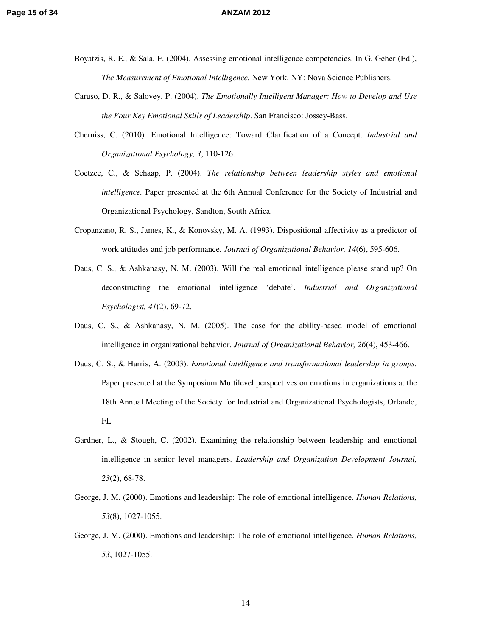- Boyatzis, R. E., & Sala, F. (2004). Assessing emotional intelligence competencies. In G. Geher (Ed.), *The Measurement of Emotional Intelligence.* New York, NY: Nova Science Publishers.
- Caruso, D. R., & Salovey, P. (2004). *The Emotionally Intelligent Manager: How to Develop and Use the Four Key Emotional Skills of Leadership*. San Francisco: Jossey-Bass.
- Cherniss, C. (2010). Emotional Intelligence: Toward Clarification of a Concept. *Industrial and Organizational Psychology, 3*, 110-126.
- Coetzee, C., & Schaap, P. (2004). *The relationship between leadership styles and emotional intelligence.* Paper presented at the 6th Annual Conference for the Society of Industrial and Organizational Psychology, Sandton, South Africa.
- Cropanzano, R. S., James, K., & Konovsky, M. A. (1993). Dispositional affectivity as a predictor of work attitudes and job performance. *Journal of Organizational Behavior, 14*(6), 595-606.
- Daus, C. S., & Ashkanasy, N. M. (2003). Will the real emotional intelligence please stand up? On deconstructing the emotional intelligence 'debate'. *Industrial and Organizational Psychologist, 41*(2), 69-72.
- Daus, C. S., & Ashkanasy, N. M. (2005). The case for the ability-based model of emotional intelligence in organizational behavior. *Journal of Organizational Behavior, 26*(4), 453-466.
- Daus, C. S., & Harris, A. (2003). *Emotional intelligence and transformational leadership in groups.* Paper presented at the Symposium Multilevel perspectives on emotions in organizations at the 18th Annual Meeting of the Society for Industrial and Organizational Psychologists, Orlando, FL
- Gardner, L., & Stough, C. (2002). Examining the relationship between leadership and emotional intelligence in senior level managers. *Leadership and Organization Development Journal, 23*(2), 68-78.
- George, J. M. (2000). Emotions and leadership: The role of emotional intelligence. *Human Relations, 53*(8), 1027-1055.
- George, J. M. (2000). Emotions and leadership: The role of emotional intelligence. *Human Relations, 53*, 1027-1055.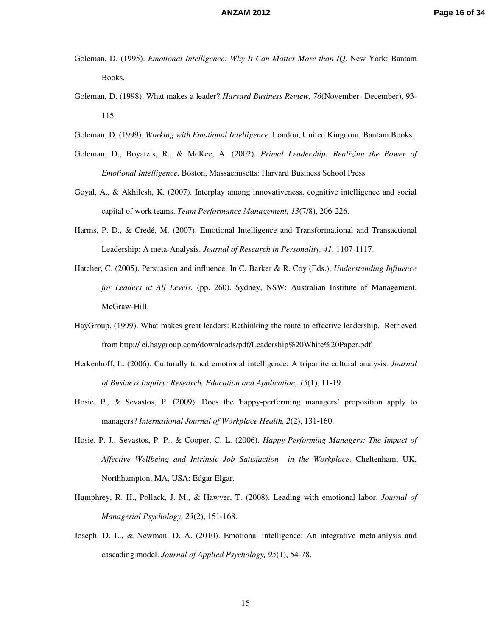- Goleman, D. (1995). *Emotional Intelligence: Why It Can Matter More than IQ*. New York: Bantam Books.
- Goleman, D. (1998). What makes a leader? *Harvard Business Review, 76*(November- December), 93- 115.
- Goleman, D. (1999). *Working with Emotional Intelligence*. London, United Kingdom: Bantam Books.
- Goleman, D., Boyatzis, R., & McKee, A. (2002). *Primal Leadership: Realizing the Power of Emotional Intelligence*. Boston, Massachusetts: Harvard Business School Press.
- Goyal, A., & Akhilesh, K. (2007). Interplay among innovativeness, cognitive intelligence and social capital of work teams. *Team Performance Management, 13*(7/8), 206-226.
- Harms, P. D., & Credé, M. (2007). Emotional Intelligence and Transformational and Transactional Leadership: A meta-Analysis. *Journal of Research in Personality, 41*, 1107-1117.
- Hatcher, C. (2005). Persuasion and influence. In C. Barker & R. Coy (Eds.), *Understanding Influence for Leaders at All Levels.* (pp. 260). Sydney, NSW: Australian Institute of Management. McGraw-Hill.
- HayGroup. (1999). What makes great leaders: Rethinking the route to effective leadership. Retrieved from http:// ei.haygroup.com/downloads/pdf/Leadership%20White%20Paper.pdf
- Herkenhoff, L. (2006). Culturally tuned emotional intelligence: A tripartite cultural analysis. *Journal of Business Inquiry: Research, Education and Application, 15*(1), 11-19.
- Hosie, P., & Sevastos, P. (2009). Does the 'happy-performing managers' proposition apply to managers? *International Journal of Workplace Health, 2*(2), 131-160.
- Hosie, P. J., Sevastos, P. P., & Cooper, C. L. (2006). *Happy-Performing Managers: The Impact of Affective Wellbeing and Intrinsic Job Satisfaction in the Workplace*. Cheltenham, UK, Northhampton, MA, USA: Edgar Elgar.
- Humphrey, R. H., Pollack, J. M., & Hawver, T. (2008). Leading with emotional labor. *Journal of Managerial Psychology, 23*(2), 151-168.
- Joseph, D. L., & Newman, D. A. (2010). Emotional intelligence: An integrative meta-anlysis and cascading model. *Journal of Applied Psychology, 95*(1), 54-78.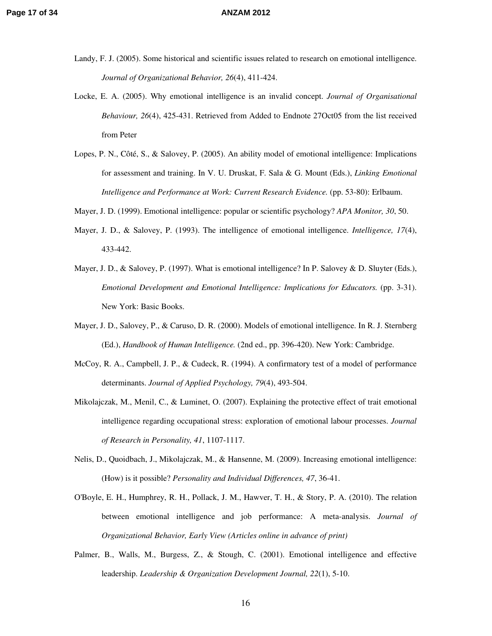- Landy, F. J. (2005). Some historical and scientific issues related to research on emotional intelligence. *Journal of Organizational Behavior, 26*(4), 411-424.
- Locke, E. A. (2005). Why emotional intelligence is an invalid concept. *Journal of Organisational Behaviour, 26*(4), 425-431. Retrieved from Added to Endnote 27Oct05 from the list received from Peter
- Lopes, P. N., Côté, S., & Salovey, P. (2005). An ability model of emotional intelligence: Implications for assessment and training. In V. U. Druskat, F. Sala & G. Mount (Eds.), *Linking Emotional Intelligence and Performance at Work: Current Research Evidence.* (pp. 53-80): Erlbaum.
- Mayer, J. D. (1999). Emotional intelligence: popular or scientific psychology? *APA Monitor, 30*, 50.
- Mayer, J. D., & Salovey, P. (1993). The intelligence of emotional intelligence. *Intelligence, 17*(4), 433-442.
- Mayer, J. D., & Salovey, P. (1997). What is emotional intelligence? In P. Salovey & D. Sluyter (Eds.), *Emotional Development and Emotional Intelligence: Implications for Educators.* (pp. 3-31). New York: Basic Books.
- Mayer, J. D., Salovey, P., & Caruso, D. R. (2000). Models of emotional intelligence. In R. J. Sternberg (Ed.), *Handbook of Human Intelligence.* (2nd ed., pp. 396-420). New York: Cambridge.
- McCoy, R. A., Campbell, J. P., & Cudeck, R. (1994). A confirmatory test of a model of performance determinants. *Journal of Applied Psychology, 79*(4), 493-504.
- Mikolajczak, M., Menil, C., & Luminet, O. (2007). Explaining the protective effect of trait emotional intelligence regarding occupational stress: exploration of emotional labour processes. *Journal of Research in Personality, 41*, 1107-1117.
- Nelis, D., Quoidbach, J., Mikolajczak, M., & Hansenne, M. (2009). Increasing emotional intelligence: (How) is it possible? *Personality and Individual Differences, 47*, 36-41.
- O'Boyle, E. H., Humphrey, R. H., Pollack, J. M., Hawver, T. H., & Story, P. A. (2010). The relation between emotional intelligence and job performance: A meta-analysis. *Journal of Organizational Behavior, Early View (Articles online in advance of print)*
- Palmer, B., Walls, M., Burgess, Z., & Stough, C. (2001). Emotional intelligence and effective leadership. *Leadership & Organization Development Journal, 22*(1), 5-10.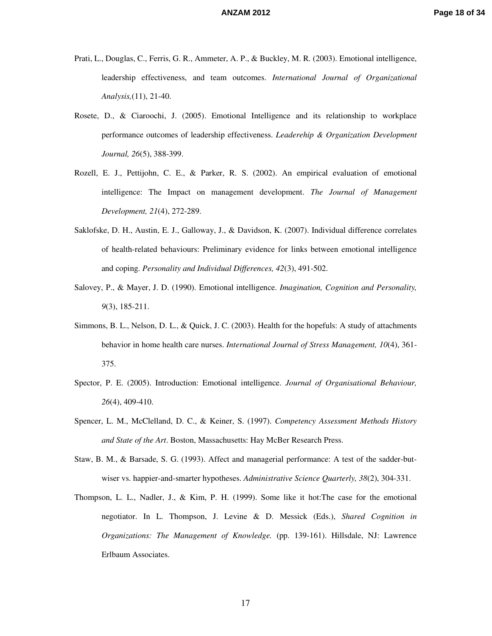- Prati, L., Douglas, C., Ferris, G. R., Ammeter, A. P., & Buckley, M. R. (2003). Emotional intelligence, leadership effectiveness, and team outcomes. *International Journal of Organizational Analysis,*(11), 21-40.
- Rosete, D., & Ciaroochi, J. (2005). Emotional Intelligence and its relationship to workplace performance outcomes of leadership effectiveness. *Leaderehip & Organization Development Journal, 26*(5), 388-399.
- Rozell, E. J., Pettijohn, C. E., & Parker, R. S. (2002). An empirical evaluation of emotional intelligence: The Impact on management development. *The Journal of Management Development, 21*(4), 272-289.
- Saklofske, D. H., Austin, E. J., Galloway, J., & Davidson, K. (2007). Individual difference correlates of health-related behaviours: Preliminary evidence for links between emotional intelligence and coping. *Personality and Individual Differences, 42*(3), 491-502.
- Salovey, P., & Mayer, J. D. (1990). Emotional intelligence. *Imagination, Cognition and Personality, 9*(3), 185-211.
- Simmons, B. L., Nelson, D. L., & Quick, J. C. (2003). Health for the hopefuls: A study of attachments behavior in home health care nurses. *International Journal of Stress Management, 10*(4), 361- 375.
- Spector, P. E. (2005). Introduction: Emotional intelligence. *Journal of Organisational Behaviour, 26*(4), 409-410.
- Spencer, L. M., McClelland, D. C., & Keiner, S. (1997). *Competency Assessment Methods History and State of the Art*. Boston, Massachusetts: Hay McBer Research Press.
- Staw, B. M., & Barsade, S. G. (1993). Affect and managerial performance: A test of the sadder-butwiser vs. happier-and-smarter hypotheses. *Administrative Science Quarterly, 38*(2), 304-331.
- Thompson, L. L., Nadler, J., & Kim, P. H. (1999). Some like it hot:The case for the emotional negotiator. In L. Thompson, J. Levine & D. Messick (Eds.), *Shared Cognition in Organizations: The Management of Knowledge.* (pp. 139-161). Hillsdale, NJ: Lawrence Erlbaum Associates.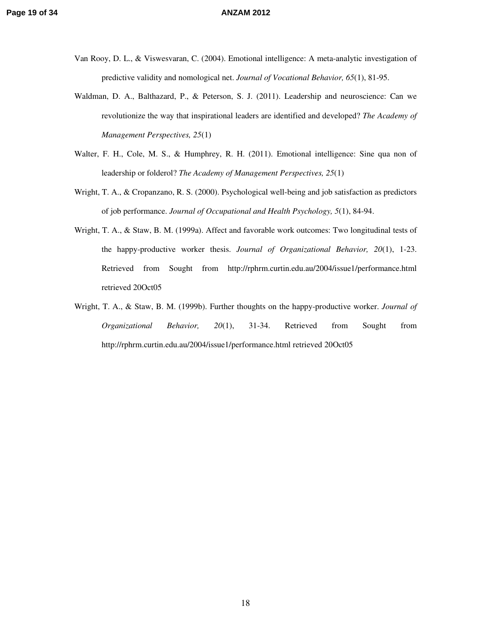- Van Rooy, D. L., & Viswesvaran, C. (2004). Emotional intelligence: A meta-analytic investigation of predictive validity and nomological net. *Journal of Vocational Behavior, 65*(1), 81-95.
- Waldman, D. A., Balthazard, P., & Peterson, S. J. (2011). Leadership and neuroscience: Can we revolutionize the way that inspirational leaders are identified and developed? *The Academy of Management Perspectives, 25*(1)
- Walter, F. H., Cole, M. S., & Humphrey, R. H. (2011). Emotional intelligence: Sine qua non of leadership or folderol? *The Academy of Management Perspectives, 25*(1)
- Wright, T. A., & Cropanzano, R. S. (2000). Psychological well-being and job satisfaction as predictors of job performance. *Journal of Occupational and Health Psychology, 5*(1), 84-94.
- Wright, T. A., & Staw, B. M. (1999a). Affect and favorable work outcomes: Two longitudinal tests of the happy-productive worker thesis. *Journal of Organizational Behavior, 20*(1), 1-23. Retrieved from Sought from http://rphrm.curtin.edu.au/2004/issue1/performance.html retrieved 20Oct05
- Wright, T. A., & Staw, B. M. (1999b). Further thoughts on the happy-productive worker. *Journal of Organizational Behavior, 20*(1), 31-34. Retrieved from Sought from http://rphrm.curtin.edu.au/2004/issue1/performance.html retrieved 20Oct05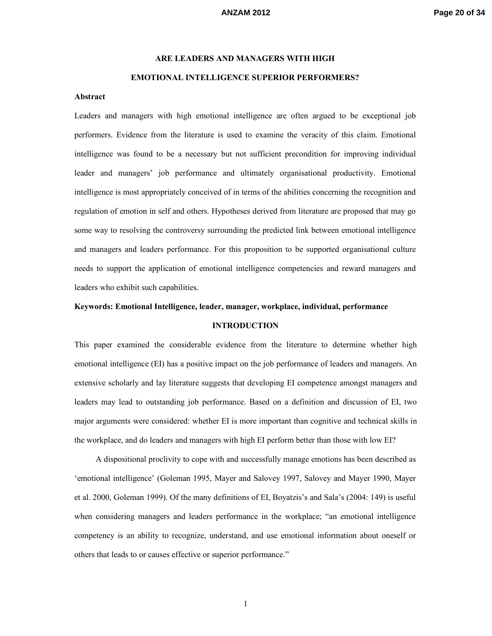# **ARE LEADERS AND MANAGERS WITH HIGH EMOTIONAL INTELLIGENCE SUPERIOR PERFORMERS?**

### **Abstract**

Leaders and managers with high emotional intelligence are often argued to be exceptional job performers. Evidence from the literature is used to examine the veracity of this claim. Emotional intelligence was found to be a necessary but not sufficient precondition for improving individual leader and managers' job performance and ultimately organisational productivity. Emotional intelligence is most appropriately conceived of in terms of the abilities concerning the recognition and regulation of emotion in self and others. Hypotheses derived from literature are proposed that may go some way to resolving the controversy surrounding the predicted link between emotional intelligence and managers and leaders performance. For this proposition to be supported organisational culture needs to support the application of emotional intelligence competencies and reward managers and leaders who exhibit such capabilities.

### **Keywords: Emotional Intelligence, leader, manager, workplace, individual, performance**

### **INTRODUCTION**

This paper examined the considerable evidence from the literature to determine whether high emotional intelligence (EI) has a positive impact on the job performance of leaders and managers. An extensive scholarly and lay literature suggests that developing EI competence amongst managers and leaders may lead to outstanding job performance. Based on a definition and discussion of EI, two major arguments were considered: whether EI is more important than cognitive and technical skills in the workplace, and do leaders and managers with high EI perform better than those with low EI?

A dispositional proclivity to cope with and successfully manage emotions has been described as 'emotional intelligence' (Goleman 1995, Mayer and Salovey 1997, Salovey and Mayer 1990, Mayer et al. 2000, Goleman 1999). Of the many definitions of EI, Boyatzis's and Sala's (2004: 149) is useful when considering managers and leaders performance in the workplace; "an emotional intelligence competency is an ability to recognize, understand, and use emotional information about oneself or others that leads to or causes effective or superior performance."

1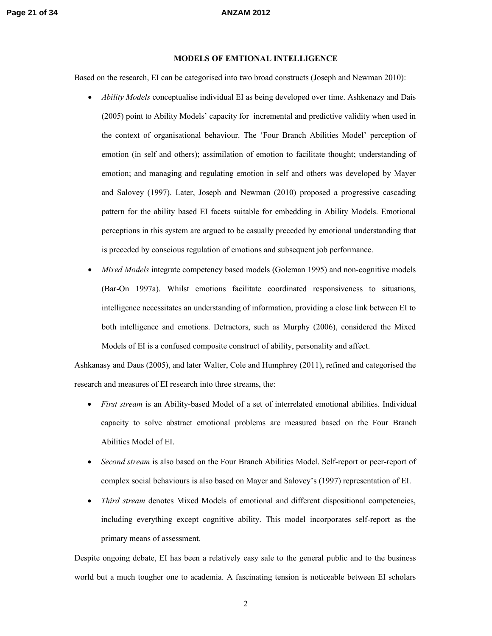### **MODELS OF EMTIONAL INTELLIGENCE**

Based on the research, EI can be categorised into two broad constructs (Joseph and Newman 2010):

- *Ability Models* conceptualise individual EI as being developed over time. Ashkenazy and Dais (2005) point to Ability Models' capacity for incremental and predictive validity when used in the context of organisational behaviour. The 'Four Branch Abilities Model' perception of emotion (in self and others); assimilation of emotion to facilitate thought; understanding of emotion; and managing and regulating emotion in self and others was developed by Mayer and Salovey (1997). Later, Joseph and Newman (2010) proposed a progressive cascading pattern for the ability based EI facets suitable for embedding in Ability Models. Emotional perceptions in this system are argued to be casually preceded by emotional understanding that is preceded by conscious regulation of emotions and subsequent job performance.
- *Mixed Models* integrate competency based models (Goleman 1995) and non-cognitive models (Bar-On 1997a). Whilst emotions facilitate coordinated responsiveness to situations, intelligence necessitates an understanding of information, providing a close link between EI to both intelligence and emotions. Detractors, such as Murphy (2006), considered the Mixed Models of EI is a confused composite construct of ability, personality and affect.

Ashkanasy and Daus (2005), and later Walter, Cole and Humphrey (2011), refined and categorised the research and measures of EI research into three streams, the:

- *First stream* is an Ability-based Model of a set of interrelated emotional abilities. Individual capacity to solve abstract emotional problems are measured based on the Four Branch Abilities Model of EI.
- *Second stream* is also based on the Four Branch Abilities Model. Self-report or peer-report of complex social behaviours is also based on Mayer and Salovey's (1997) representation of EI.
- *Third stream* denotes Mixed Models of emotional and different dispositional competencies, including everything except cognitive ability. This model incorporates self-report as the primary means of assessment.

Despite ongoing debate, EI has been a relatively easy sale to the general public and to the business world but a much tougher one to academia. A fascinating tension is noticeable between EI scholars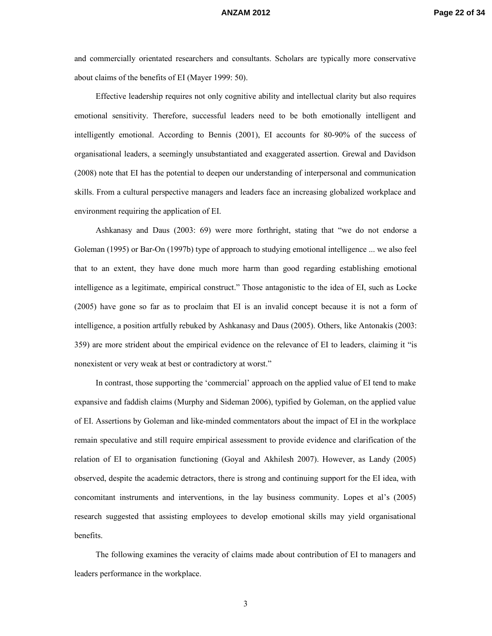and commercially orientated researchers and consultants. Scholars are typically more conservative about claims of the benefits of EI (Mayer 1999: 50).

Effective leadership requires not only cognitive ability and intellectual clarity but also requires emotional sensitivity. Therefore, successful leaders need to be both emotionally intelligent and intelligently emotional. According to Bennis (2001), EI accounts for 80-90% of the success of organisational leaders, a seemingly unsubstantiated and exaggerated assertion. Grewal and Davidson (2008) note that EI has the potential to deepen our understanding of interpersonal and communication skills. From a cultural perspective managers and leaders face an increasing globalized workplace and environment requiring the application of EI.

Ashkanasy and Daus (2003: 69) were more forthright, stating that "we do not endorse a Goleman (1995) or Bar-On (1997b) type of approach to studying emotional intelligence ... we also feel that to an extent, they have done much more harm than good regarding establishing emotional intelligence as a legitimate, empirical construct." Those antagonistic to the idea of EI, such as Locke (2005) have gone so far as to proclaim that EI is an invalid concept because it is not a form of intelligence, a position artfully rebuked by Ashkanasy and Daus (2005). Others, like Antonakis (2003: 359) are more strident about the empirical evidence on the relevance of EI to leaders, claiming it "is nonexistent or very weak at best or contradictory at worst."

In contrast, those supporting the 'commercial' approach on the applied value of EI tend to make expansive and faddish claims (Murphy and Sideman 2006), typified by Goleman, on the applied value of EI. Assertions by Goleman and like-minded commentators about the impact of EI in the workplace remain speculative and still require empirical assessment to provide evidence and clarification of the relation of EI to organisation functioning (Goyal and Akhilesh 2007). However, as Landy (2005) observed, despite the academic detractors, there is strong and continuing support for the EI idea, with concomitant instruments and interventions, in the lay business community. Lopes et al's (2005) research suggested that assisting employees to develop emotional skills may yield organisational benefits.

The following examines the veracity of claims made about contribution of EI to managers and leaders performance in the workplace.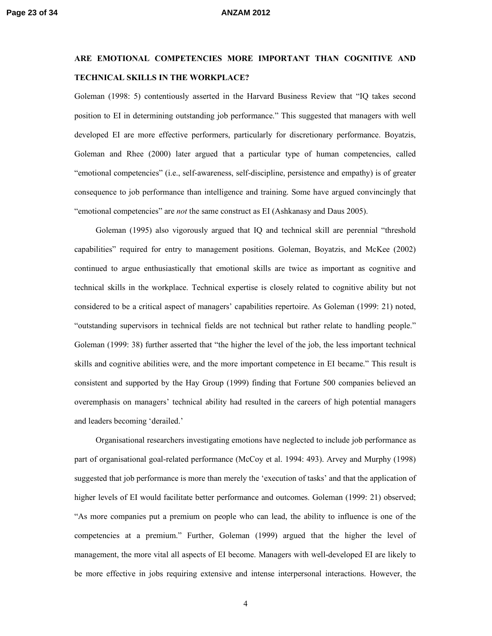## **ARE EMOTIONAL COMPETENCIES MORE IMPORTANT THAN COGNITIVE AND TECHNICAL SKILLS IN THE WORKPLACE?**

Goleman (1998: 5) contentiously asserted in the Harvard Business Review that "IQ takes second position to EI in determining outstanding job performance." This suggested that managers with well developed EI are more effective performers, particularly for discretionary performance. Boyatzis, Goleman and Rhee (2000) later argued that a particular type of human competencies, called "emotional competencies" (i.e., self-awareness, self-discipline, persistence and empathy) is of greater consequence to job performance than intelligence and training. Some have argued convincingly that "emotional competencies" are *not* the same construct as EI (Ashkanasy and Daus 2005).

Goleman (1995) also vigorously argued that IQ and technical skill are perennial "threshold capabilities" required for entry to management positions. Goleman, Boyatzis, and McKee (2002) continued to argue enthusiastically that emotional skills are twice as important as cognitive and technical skills in the workplace. Technical expertise is closely related to cognitive ability but not considered to be a critical aspect of managers' capabilities repertoire. As Goleman (1999: 21) noted, "outstanding supervisors in technical fields are not technical but rather relate to handling people." Goleman (1999: 38) further asserted that "the higher the level of the job, the less important technical skills and cognitive abilities were, and the more important competence in EI became." This result is consistent and supported by the Hay Group (1999) finding that Fortune 500 companies believed an overemphasis on managers' technical ability had resulted in the careers of high potential managers and leaders becoming 'derailed.'

Organisational researchers investigating emotions have neglected to include job performance as part of organisational goal-related performance (McCoy et al. 1994: 493). Arvey and Murphy (1998) suggested that job performance is more than merely the 'execution of tasks' and that the application of higher levels of EI would facilitate better performance and outcomes. Goleman (1999: 21) observed; "As more companies put a premium on people who can lead, the ability to influence is one of the competencies at a premium." Further, Goleman (1999) argued that the higher the level of management, the more vital all aspects of EI become. Managers with well-developed EI are likely to be more effective in jobs requiring extensive and intense interpersonal interactions. However, the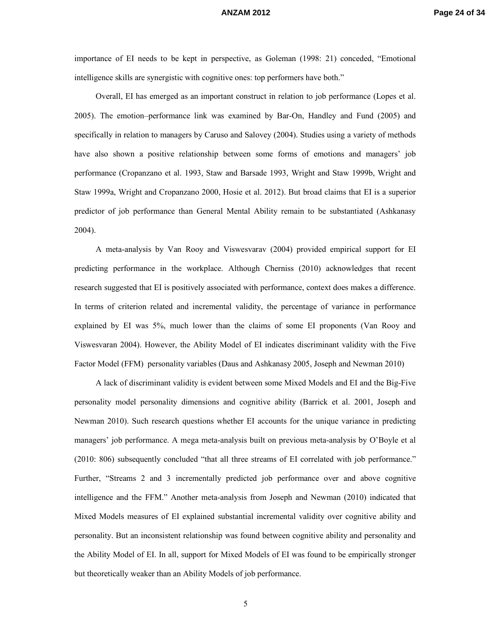importance of EI needs to be kept in perspective, as Goleman (1998: 21) conceded, "Emotional intelligence skills are synergistic with cognitive ones: top performers have both."

Overall, EI has emerged as an important construct in relation to job performance (Lopes et al. 2005). The emotion–performance link was examined by Bar-On, Handley and Fund (2005) and specifically in relation to managers by Caruso and Salovey (2004). Studies using a variety of methods have also shown a positive relationship between some forms of emotions and managers' job performance (Cropanzano et al. 1993, Staw and Barsade 1993, Wright and Staw 1999b, Wright and Staw 1999a, Wright and Cropanzano 2000, Hosie et al. 2012). But broad claims that EI is a superior predictor of job performance than General Mental Ability remain to be substantiated (Ashkanasy 2004).

A meta-analysis by Van Rooy and Viswesvarav (2004) provided empirical support for EI predicting performance in the workplace. Although Cherniss (2010) acknowledges that recent research suggested that EI is positively associated with performance, context does makes a difference. In terms of criterion related and incremental validity, the percentage of variance in performance explained by EI was 5%, much lower than the claims of some EI proponents (Van Rooy and Viswesvaran 2004). However, the Ability Model of EI indicates discriminant validity with the Five Factor Model (FFM) personality variables (Daus and Ashkanasy 2005, Joseph and Newman 2010)

A lack of discriminant validity is evident between some Mixed Models and EI and the Big-Five personality model personality dimensions and cognitive ability (Barrick et al. 2001, Joseph and Newman 2010). Such research questions whether EI accounts for the unique variance in predicting managers' job performance. A mega meta-analysis built on previous meta-analysis by O'Boyle et al (2010: 806) subsequently concluded "that all three streams of EI correlated with job performance." Further, "Streams 2 and 3 incrementally predicted job performance over and above cognitive intelligence and the FFM." Another meta-analysis from Joseph and Newman (2010) indicated that Mixed Models measures of EI explained substantial incremental validity over cognitive ability and personality. But an inconsistent relationship was found between cognitive ability and personality and the Ability Model of EI. In all, support for Mixed Models of EI was found to be empirically stronger but theoretically weaker than an Ability Models of job performance.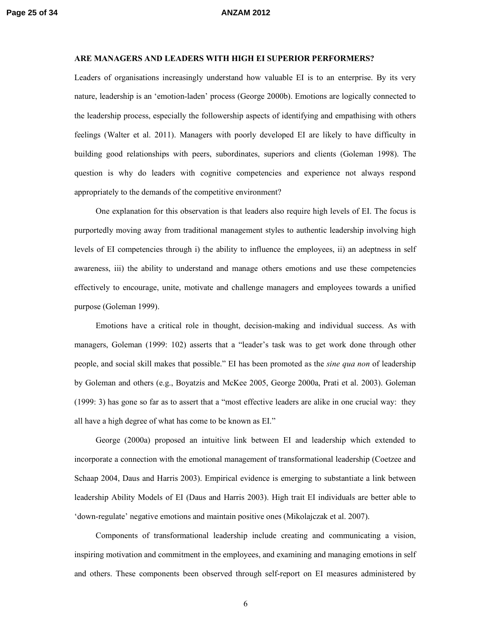### **ARE MANAGERS AND LEADERS WITH HIGH EI SUPERIOR PERFORMERS?**

Leaders of organisations increasingly understand how valuable EI is to an enterprise. By its very nature, leadership is an 'emotion-laden' process (George 2000b). Emotions are logically connected to the leadership process, especially the followership aspects of identifying and empathising with others feelings (Walter et al. 2011). Managers with poorly developed EI are likely to have difficulty in building good relationships with peers, subordinates, superiors and clients (Goleman 1998). The question is why do leaders with cognitive competencies and experience not always respond appropriately to the demands of the competitive environment?

One explanation for this observation is that leaders also require high levels of EI. The focus is purportedly moving away from traditional management styles to authentic leadership involving high levels of EI competencies through i) the ability to influence the employees, ii) an adeptness in self awareness, iii) the ability to understand and manage others emotions and use these competencies effectively to encourage, unite, motivate and challenge managers and employees towards a unified purpose (Goleman 1999).

Emotions have a critical role in thought, decision-making and individual success. As with managers, Goleman (1999: 102) asserts that a "leader's task was to get work done through other people, and social skill makes that possible." EI has been promoted as the *sine qua non* of leadership by Goleman and others (e.g., Boyatzis and McKee 2005, George 2000a, Prati et al. 2003). Goleman (1999: 3) has gone so far as to assert that a "most effective leaders are alike in one crucial way: they all have a high degree of what has come to be known as EI."

George (2000a) proposed an intuitive link between EI and leadership which extended to incorporate a connection with the emotional management of transformational leadership (Coetzee and Schaap 2004, Daus and Harris 2003). Empirical evidence is emerging to substantiate a link between leadership Ability Models of EI (Daus and Harris 2003). High trait EI individuals are better able to 'down-regulate' negative emotions and maintain positive ones (Mikolajczak et al. 2007).

Components of transformational leadership include creating and communicating a vision, inspiring motivation and commitment in the employees, and examining and managing emotions in self and others. These components been observed through self-report on EI measures administered by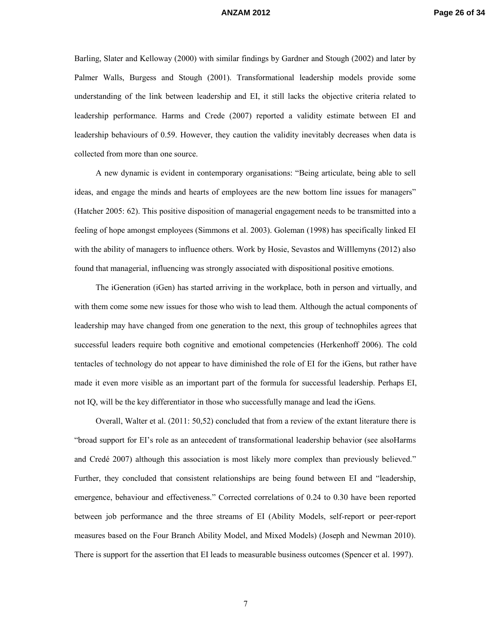Barling, Slater and Kelloway (2000) with similar findings by Gardner and Stough (2002) and later by Palmer Walls, Burgess and Stough (2001). Transformational leadership models provide some understanding of the link between leadership and EI, it still lacks the objective criteria related to leadership performance. Harms and Crede (2007) reported a validity estimate between EI and leadership behaviours of 0.59. However, they caution the validity inevitably decreases when data is collected from more than one source.

A new dynamic is evident in contemporary organisations: "Being articulate, being able to sell ideas, and engage the minds and hearts of employees are the new bottom line issues for managers" (Hatcher 2005: 62). This positive disposition of managerial engagement needs to be transmitted into a feeling of hope amongst employees (Simmons et al. 2003). Goleman (1998) has specifically linked EI with the ability of managers to influence others. Work by Hosie, Sevastos and WiIllemyns (2012) also found that managerial, influencing was strongly associated with dispositional positive emotions.

The iGeneration (iGen) has started arriving in the workplace, both in person and virtually, and with them come some new issues for those who wish to lead them. Although the actual components of leadership may have changed from one generation to the next, this group of technophiles agrees that successful leaders require both cognitive and emotional competencies (Herkenhoff 2006). The cold tentacles of technology do not appear to have diminished the role of EI for the iGens, but rather have made it even more visible as an important part of the formula for successful leadership. Perhaps EI, not IQ, will be the key differentiator in those who successfully manage and lead the iGens.

Overall, Walter et al. (2011: 50,52) concluded that from a review of the extant literature there is "broad support for EI's role as an antecedent of transformational leadership behavior (see alsoHarms and Credé 2007) although this association is most likely more complex than previously believed." Further, they concluded that consistent relationships are being found between EI and "leadership, emergence, behaviour and effectiveness." Corrected correlations of 0.24 to 0.30 have been reported between job performance and the three streams of EI (Ability Models, self-report or peer-report measures based on the Four Branch Ability Model, and Mixed Models) (Joseph and Newman 2010). There is support for the assertion that EI leads to measurable business outcomes (Spencer et al. 1997).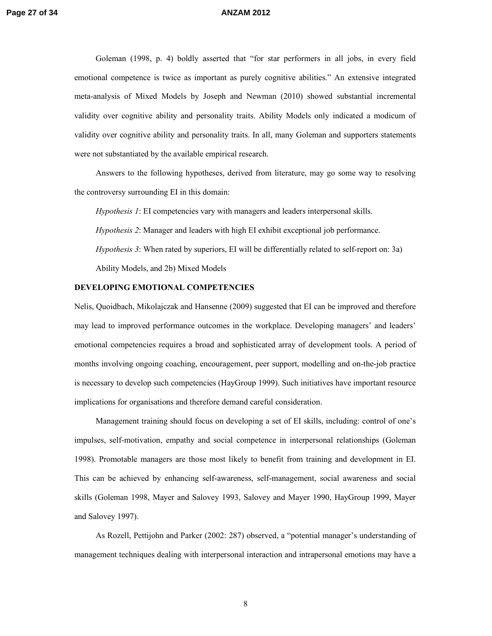Goleman (1998, p. 4) boldly asserted that "for star performers in all jobs, in every field emotional competence is twice as important as purely cognitive abilities." An extensive integrated meta-analysis of Mixed Models by Joseph and Newman (2010) showed substantial incremental validity over cognitive ability and personality traits. Ability Models only indicated a modicum of validity over cognitive ability and personality traits. In all, many Goleman and supporters statements were not substantiated by the available empirical research.

Answers to the following hypotheses, derived from literature, may go some way to resolving the controversy surrounding EI in this domain:

*Hypothesis 1*: EI competencies vary with managers and leaders interpersonal skills.

*Hypothesis 2*: Manager and leaders with high EI exhibit exceptional job performance.

*Hypothesis 3*: When rated by superiors, EI will be differentially related to self-report on: 3a) Ability Models, and 2b) Mixed Models

### **DEVELOPING EMOTIONAL COMPETENCIES**

Nelis, Quoidbach, Mikolajczak and Hansenne (2009) suggested that EI can be improved and therefore may lead to improved performance outcomes in the workplace. Developing managers' and leaders' emotional competencies requires a broad and sophisticated array of development tools. A period of months involving ongoing coaching, encouragement, peer support, modelling and on-the-job practice is necessary to develop such competencies (HayGroup 1999). Such initiatives have important resource implications for organisations and therefore demand careful consideration.

Management training should focus on developing a set of EI skills, including: control of one's impulses, self-motivation, empathy and social competence in interpersonal relationships (Goleman 1998). Promotable managers are those most likely to benefit from training and development in EI. This can be achieved by enhancing self-awareness, self-management, social awareness and social skills (Goleman 1998, Mayer and Salovey 1993, Salovey and Mayer 1990, HayGroup 1999, Mayer and Salovey 1997).

As Rozell, Pettijohn and Parker (2002: 287) observed, a "potential manager's understanding of management techniques dealing with interpersonal interaction and intrapersonal emotions may have a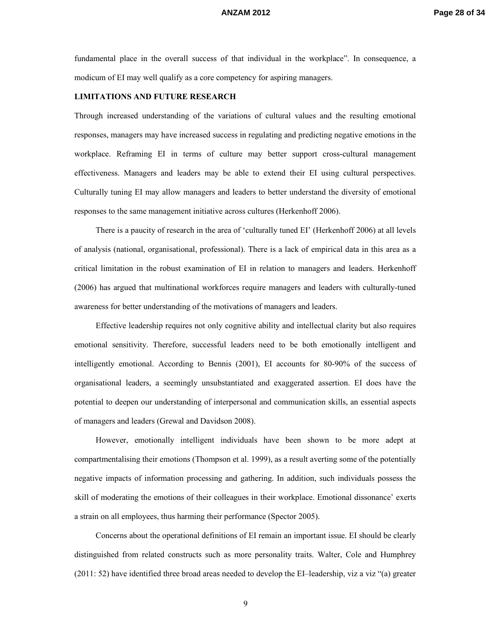fundamental place in the overall success of that individual in the workplace". In consequence, a modicum of EI may well qualify as a core competency for aspiring managers.

### **LIMITATIONS AND FUTURE RESEARCH**

Through increased understanding of the variations of cultural values and the resulting emotional responses, managers may have increased success in regulating and predicting negative emotions in the workplace. Reframing EI in terms of culture may better support cross-cultural management effectiveness. Managers and leaders may be able to extend their EI using cultural perspectives. Culturally tuning EI may allow managers and leaders to better understand the diversity of emotional responses to the same management initiative across cultures (Herkenhoff 2006).

There is a paucity of research in the area of 'culturally tuned EI' (Herkenhoff 2006) at all levels of analysis (national, organisational, professional). There is a lack of empirical data in this area as a critical limitation in the robust examination of EI in relation to managers and leaders. Herkenhoff (2006) has argued that multinational workforces require managers and leaders with culturally-tuned awareness for better understanding of the motivations of managers and leaders.

Effective leadership requires not only cognitive ability and intellectual clarity but also requires emotional sensitivity. Therefore, successful leaders need to be both emotionally intelligent and intelligently emotional. According to Bennis (2001), EI accounts for 80-90% of the success of organisational leaders, a seemingly unsubstantiated and exaggerated assertion. EI does have the potential to deepen our understanding of interpersonal and communication skills, an essential aspects of managers and leaders (Grewal and Davidson 2008).

However, emotionally intelligent individuals have been shown to be more adept at compartmentalising their emotions (Thompson et al. 1999), as a result averting some of the potentially negative impacts of information processing and gathering. In addition, such individuals possess the skill of moderating the emotions of their colleagues in their workplace. Emotional dissonance' exerts a strain on all employees, thus harming their performance (Spector 2005).

Concerns about the operational definitions of EI remain an important issue. EI should be clearly distinguished from related constructs such as more personality traits. Walter, Cole and Humphrey (2011: 52) have identified three broad areas needed to develop the EI–leadership, viz a viz "(a) greater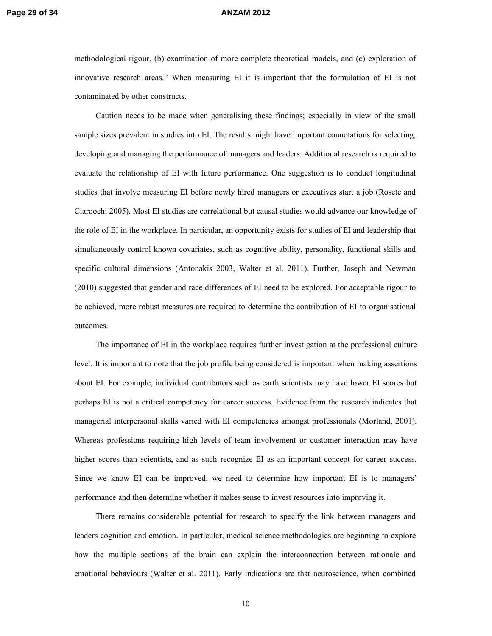methodological rigour, (b) examination of more complete theoretical models, and (c) exploration of innovative research areas." When measuring EI it is important that the formulation of EI is not contaminated by other constructs.

Caution needs to be made when generalising these findings; especially in view of the small sample sizes prevalent in studies into EI. The results might have important connotations for selecting, developing and managing the performance of managers and leaders. Additional research is required to evaluate the relationship of EI with future performance. One suggestion is to conduct longitudinal studies that involve measuring EI before newly hired managers or executives start a job (Rosete and Ciaroochi 2005). Most EI studies are correlational but causal studies would advance our knowledge of the role of EI in the workplace. In particular, an opportunity exists for studies of EI and leadership that simultaneously control known covariates, such as cognitive ability, personality, functional skills and specific cultural dimensions (Antonakis 2003, Walter et al. 2011). Further, Joseph and Newman (2010) suggested that gender and race differences of EI need to be explored. For acceptable rigour to be achieved, more robust measures are required to determine the contribution of EI to organisational outcomes.

The importance of EI in the workplace requires further investigation at the professional culture level. It is important to note that the job profile being considered is important when making assertions about EI. For example, individual contributors such as earth scientists may have lower EI scores but perhaps EI is not a critical competency for career success. Evidence from the research indicates that managerial interpersonal skills varied with EI competencies amongst professionals (Morland, 2001). Whereas professions requiring high levels of team involvement or customer interaction may have higher scores than scientists, and as such recognize EI as an important concept for career success. Since we know EI can be improved, we need to determine how important EI is to managers' performance and then determine whether it makes sense to invest resources into improving it.

There remains considerable potential for research to specify the link between managers and leaders cognition and emotion. In particular, medical science methodologies are beginning to explore how the multiple sections of the brain can explain the interconnection between rationale and emotional behaviours (Walter et al. 2011). Early indications are that neuroscience, when combined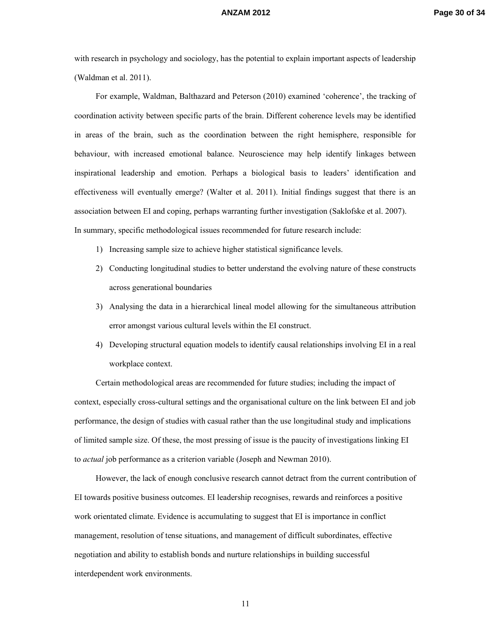with research in psychology and sociology, has the potential to explain important aspects of leadership (Waldman et al. 2011).

For example, Waldman, Balthazard and Peterson (2010) examined 'coherence', the tracking of coordination activity between specific parts of the brain. Different coherence levels may be identified in areas of the brain, such as the coordination between the right hemisphere, responsible for behaviour, with increased emotional balance. Neuroscience may help identify linkages between inspirational leadership and emotion. Perhaps a biological basis to leaders' identification and effectiveness will eventually emerge? (Walter et al. 2011). Initial findings suggest that there is an association between EI and coping, perhaps warranting further investigation (Saklofske et al. 2007). In summary, specific methodological issues recommended for future research include:

- 1) Increasing sample size to achieve higher statistical significance levels.
- 2) Conducting longitudinal studies to better understand the evolving nature of these constructs across generational boundaries
- 3) Analysing the data in a hierarchical lineal model allowing for the simultaneous attribution error amongst various cultural levels within the EI construct.
- 4) Developing structural equation models to identify causal relationships involving EI in a real workplace context.

Certain methodological areas are recommended for future studies; including the impact of context, especially cross-cultural settings and the organisational culture on the link between EI and job performance, the design of studies with casual rather than the use longitudinal study and implications of limited sample size. Of these, the most pressing of issue is the paucity of investigations linking EI to *actual* job performance as a criterion variable (Joseph and Newman 2010).

However, the lack of enough conclusive research cannot detract from the current contribution of EI towards positive business outcomes. EI leadership recognises, rewards and reinforces a positive work orientated climate. Evidence is accumulating to suggest that EI is importance in conflict management, resolution of tense situations, and management of difficult subordinates, effective negotiation and ability to establish bonds and nurture relationships in building successful interdependent work environments.

11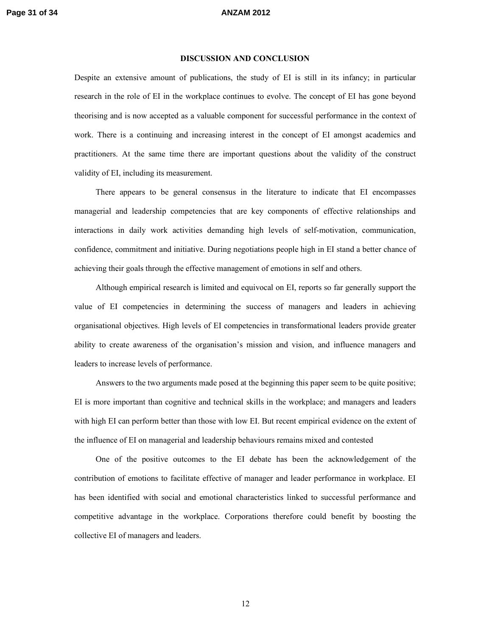### **DISCUSSION AND CONCLUSION**

Despite an extensive amount of publications, the study of EI is still in its infancy; in particular research in the role of EI in the workplace continues to evolve. The concept of EI has gone beyond theorising and is now accepted as a valuable component for successful performance in the context of work. There is a continuing and increasing interest in the concept of EI amongst academics and practitioners. At the same time there are important questions about the validity of the construct validity of EI, including its measurement.

There appears to be general consensus in the literature to indicate that EI encompasses managerial and leadership competencies that are key components of effective relationships and interactions in daily work activities demanding high levels of self-motivation, communication, confidence, commitment and initiative. During negotiations people high in EI stand a better chance of achieving their goals through the effective management of emotions in self and others.

Although empirical research is limited and equivocal on EI, reports so far generally support the value of EI competencies in determining the success of managers and leaders in achieving organisational objectives. High levels of EI competencies in transformational leaders provide greater ability to create awareness of the organisation's mission and vision, and influence managers and leaders to increase levels of performance.

Answers to the two arguments made posed at the beginning this paper seem to be quite positive; EI is more important than cognitive and technical skills in the workplace; and managers and leaders with high EI can perform better than those with low EI. But recent empirical evidence on the extent of the influence of EI on managerial and leadership behaviours remains mixed and contested

One of the positive outcomes to the EI debate has been the acknowledgement of the contribution of emotions to facilitate effective of manager and leader performance in workplace. EI has been identified with social and emotional characteristics linked to successful performance and competitive advantage in the workplace. Corporations therefore could benefit by boosting the collective EI of managers and leaders.

12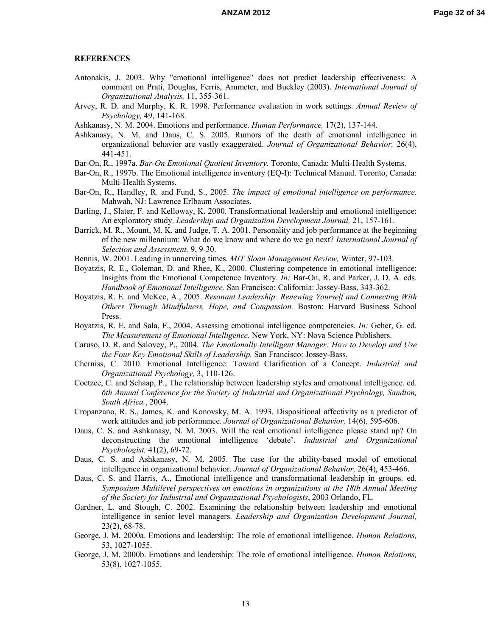### **REFERENCES**

- Antonakis, J. 2003. Why "emotional intelligence" does not predict leadership effectiveness: A comment on Prati, Douglas, Ferris, Ammeter, and Buckley (2003). *International Journal of Organizational Analysis,* 11, 355-361.
- Arvey, R. D. and Murphy, K. R. 1998. Performance evaluation in work settings. *Annual Review of Psychology,* 49, 141-168.
- Ashkanasy, N. M. 2004. Emotions and performance. *Human Performance,* 17(2), 137-144.
- Ashkanasy, N. M. and Daus, C. S. 2005. Rumors of the death of emotional intelligence in organizational behavior are vastly exaggerated. *Journal of Organizational Behavior,* 26(4), 441-451.
- Bar-On, R., 1997a. *Bar-On Emotional Quotient Inventory.* Toronto, Canada: Multi-Health Systems.
- Bar-On, R., 1997b. The Emotional intelligence inventory (EQ-I): Technical Manual. Toronto, Canada: Multi-Health Systems.
- Bar-On, R., Handley, R. and Fund, S., 2005. *The impact of emotional intelligence on performance.* Mahwah, NJ: Lawrence Erlbaum Associates.
- Barling, J., Slater, F. and Kelloway, K. 2000. Transformational leadership and emotional intelligence: An exploratory study. *Leadership and Organization Development Journal,* 21, 157-161.
- Barrick, M. R., Mount, M. K. and Judge, T. A. 2001. Personality and job performance at the beginning of the new millennium: What do we know and where do we go next? *International Journal of Selection and Assessment,* 9, 9-30.
- Bennis, W. 2001. Leading in unnerving times. *MIT Sloan Management Review,* Winter, 97-103.
- Boyatzis, R. E., Goleman, D. and Rhee, K., 2000. Clustering competence in emotional intelligence: Insights from the Emotional Competence Inventory. *In:* Bar-On, R. and Parker, J. D. A. eds. *Handbook of Emotional Intelligence.* San Francisco: California: Jossey-Bass, 343-362.
- Boyatzis, R. E. and McKee, A., 2005. *Resonant Leadership: Renewing Yourself and Connecting With Others Through Mindfulness, Hope, and Compassion.* Boston: Harvard Business School Press.
- Boyatzis, R. E. and Sala, F., 2004. Assessing emotional intelligence competencies. *In:* Geher, G. ed. *The Measurement of Emotional Intelligence.* New York, NY: Nova Science Publishers.
- Caruso, D. R. and Salovey, P., 2004. *The Emotionally Intelligent Manager: How to Develop and Use the Four Key Emotional Skills of Leadership.* San Francisco: Jossey-Bass.
- Cherniss, C. 2010. Emotional Intelligence: Toward Clarification of a Concept. *Industrial and Organizational Psychology,* 3, 110-126.
- Coetzee, C. and Schaap, P., The relationship between leadership styles and emotional intelligence. ed. *6th Annual Conference for the Society of Industrial and Organizational Psychology, Sandton, South Africa.*, 2004.
- Cropanzano, R. S., James, K. and Konovsky, M. A. 1993. Dispositional affectivity as a predictor of work attitudes and job performance. *Journal of Organizational Behavior,* 14(6), 595-606.
- Daus, C. S. and Ashkanasy, N. M. 2003. Will the real emotional intelligence please stand up? On deconstructing the emotional intelligence 'debate'. *Industrial and Organizational Psychologist,* 41(2), 69-72.
- Daus, C. S. and Ashkanasy, N. M. 2005. The case for the ability-based model of emotional intelligence in organizational behavior. *Journal of Organizational Behavior,* 26(4), 453-466.
- Daus, C. S. and Harris, A., Emotional intelligence and transformational leadership in groups. ed. *Symposium Multilevel perspectives on emotions in organizations at the 18th Annual Meeting of the Society for Industrial and Organizational Psychologists*, 2003 Orlando, FL.
- Gardner, L. and Stough, C. 2002. Examining the relationship between leadership and emotional intelligence in senior level managers. *Leadership and Organization Development Journal,* 23(2), 68-78.
- George, J. M. 2000a. Emotions and leadership: The role of emotional intelligence. *Human Relations,* 53, 1027-1055.
- George, J. M. 2000b. Emotions and leadership: The role of emotional intelligence. *Human Relations,* 53(8), 1027-1055.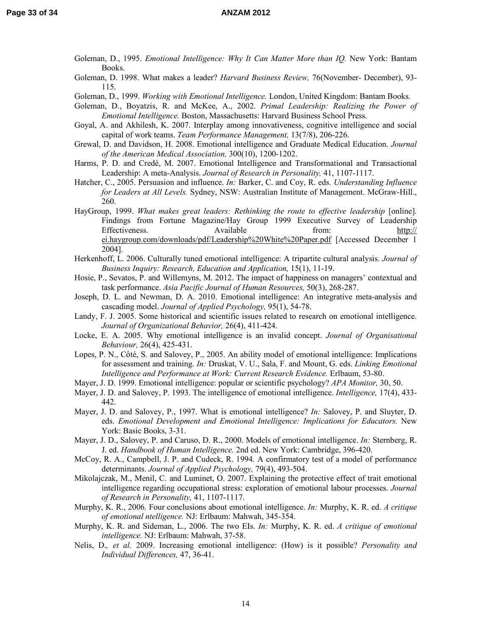- Goleman, D., 1995. *Emotional Intelligence: Why It Can Matter More than IQ.* New York: Bantam Books.
- Goleman, D. 1998. What makes a leader? *Harvard Business Review,* 76(November- December), 93- 115.
- Goleman, D., 1999. *Working with Emotional Intelligence.* London, United Kingdom: Bantam Books.

Goleman, D., Boyatzis, R. and McKee, A., 2002. *Primal Leadership: Realizing the Power of Emotional Intelligence.* Boston, Massachusetts: Harvard Business School Press.

- Goyal, A. and Akhilesh, K. 2007. Interplay among innovativeness, cognitive intelligence and social capital of work teams. *Team Performance Management,* 13(7/8), 206-226.
- Grewal, D. and Davidson, H. 2008. Emotional intelligence and Graduate Medical Education. *Journal of the American Medical Association,* 300(10), 1200-1202.
- Harms, P. D. and Credé, M. 2007. Emotional Intelligence and Transformational and Transactional Leadership: A meta-Analysis. *Journal of Research in Personality,* 41, 1107-1117.
- Hatcher, C., 2005. Persuasion and influence. *In:* Barker, C. and Coy, R. eds. *Understanding Influence for Leaders at All Levels.* Sydney, NSW: Australian Institute of Management. McGraw-Hill., 260.
- HayGroup, 1999. What makes great leaders: Rethinking the route to effective leadership [online]. Findings from Fortune Magazine/Hay Group 1999 Executive Survey of Leadership Effectiveness. Available from: http:// ei.haygroup.com/downloads/pdf/Leadership%20White%20Paper.pdf [Accessed December 1 2004].
- Herkenhoff, L. 2006. Culturally tuned emotional intelligence: A tripartite cultural analysis. *Journal of Business Inquiry: Research, Education and Application,* 15(1), 11-19.
- Hosie, P., Sevatos, P. and Willemyns, M. 2012. The impact of happiness on managers' contextual and task performance. *Asia Pacific Journal of Human Resources,* 50(3), 268-287.
- Joseph, D. L. and Newman, D. A. 2010. Emotional intelligence: An integrative meta-analysis and cascading model. *Journal of Applied Psychology,* 95(1), 54-78.
- Landy, F. J. 2005. Some historical and scientific issues related to research on emotional intelligence. *Journal of Organizational Behavior,* 26(4), 411-424.
- Locke, E. A. 2005. Why emotional intelligence is an invalid concept. *Journal of Organisational Behaviour,* 26(4), 425-431.
- Lopes, P. N., Côté, S. and Salovey, P., 2005. An ability model of emotional intelligence: Implications for assessment and training. *In:* Druskat, V. U., Sala, F. and Mount, G. eds. *Linking Emotional Intelligence and Performance at Work: Current Research Evidence.* Erlbaum, 53-80.
- Mayer, J. D. 1999. Emotional intelligence: popular or scientific psychology? *APA Monitor,* 30, 50.
- Mayer, J. D. and Salovey, P. 1993. The intelligence of emotional intelligence. *Intelligence,* 17(4), 433- 442.
- Mayer, J. D. and Salovey, P., 1997. What is emotional intelligence? *In:* Salovey, P. and Sluyter, D. eds. *Emotional Development and Emotional Intelligence: Implications for Educators.* New York: Basic Books, 3-31.
- Mayer, J. D., Salovey, P. and Caruso, D. R., 2000. Models of emotional intelligence. *In:* Sternberg, R. J. ed. *Handbook of Human Intelligence.* 2nd ed. New York: Cambridge, 396-420.
- McCoy, R. A., Campbell, J. P. and Cudeck, R. 1994. A confirmatory test of a model of performance determinants. *Journal of Applied Psychology,* 79(4), 493-504.
- Mikolajczak, M., Menil, C. and Luminet, O. 2007. Explaining the protective effect of trait emotional intelligence regarding occupational stress: exploration of emotional labour processes. *Journal of Research in Personality,* 41, 1107-1117.
- Murphy, K. R., 2006. Four conclusions about emotional intelligence. *In:* Murphy, K. R. ed. *A critique of emotional ntelligence.* NJ: Erlbaum: Mahwah, 345-354.
- Murphy, K. R. and Sideman, L., 2006. The two EIs. *In:* Murphy, K. R. ed. *A critique of emotional intelligence.* NJ: Erlbaum: Mahwah, 37-58.
- Nelis, D.*, et al.* 2009. Increasing emotional intelligence: (How) is it possible? *Personality and Individual Differences,* 47, 36-41.